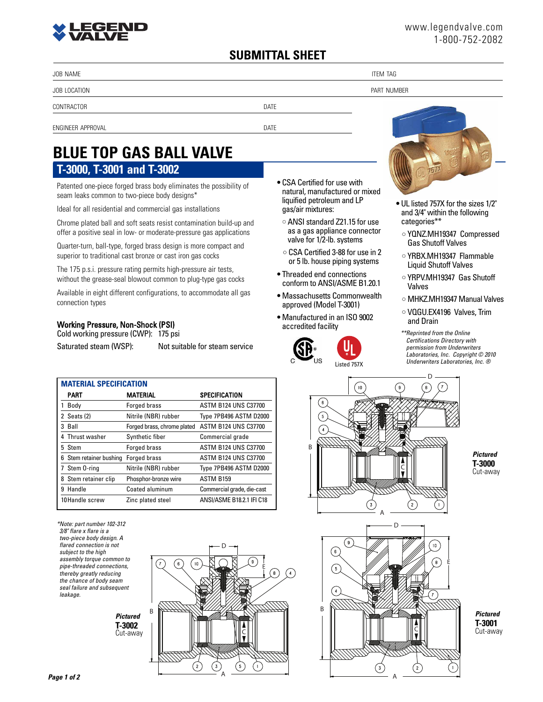## **SUBMITTAL SHEET**

JOB NAME THE STATE IS A RELEASE OF THE STATE OF THE STATE IS A RELEASE OF THE STATE OF THE STATE OF THE STATE O

JOB LOCATION PART NUMBER

CONTRACTOR DATE

ENGINEER APPROVAL DATE

# **T-3000, T-3001 and T-3002 BLUE TOP GAS BALL VALVE**

Patented one-piece forged brass body eliminates the possibility of seam leaks common to two-piece body designs\*

Ideal for all residential and commercial gas installations

Chrome plated ball and soft seats resist contamination build-up and offer a positive seal in low- or moderate-pressure gas applications

Quarter-turn, ball-type, forged brass design is more compact and superior to traditional cast bronze or cast iron gas cocks

The 175 p.s.i. pressure rating permits high-pressure air tests, without the grease-seal blowout common to plug-type gas cocks

Available in eight different configurations, to accommodate all gas connection types

### Working Pressure, Non-Shock (PSI)

Cold working pressure (CWP): 175 psi

Saturated steam (WSP): Not suitable for steam service

- **•** CSA Certified for use with natural, manufactured or mixed liquified petroleum and LP gas/air mixtures:
	- **•** ANSI standard Z21.15 for use as a gas appliance connector valve for 1/2-lb. systems
	- **•** CSA Certified 3-88 for use in 2 or 5 lb. house piping systems
- **•** Threaded end connections conform to ANSI/ASME B1.20.1
- **•** Massachusetts Commonwealth approved (Model T-3001)
- **•** Manufactured in an ISO 9002 accredited facility





- **•** UL listed 757X for the sizes 1/2" and 3/4" within the following categories\*\*
- **•** YQNZ.MH19347 Compressed Gas Shutoff Valves
- **•** YRBX.MH19347 Flammable Liquid Shutoff Valves
- **•** YRPV.MH19347 Gas Shutoff Valves
- **•** MHKZ.MH19347 Manual Valves
- **•** VQGU.EX4196 Valves, Trim and Drain
- *\*\*Reprinted from the Online Certifications Directory with permission from Underwriters Laboratories, Inc. Copyright © 2010 Underwriters Laboratories, Inc. ®*

| <b>MATERIAL SPECIFICATION</b> |                             |                             |  |  |  |
|-------------------------------|-----------------------------|-----------------------------|--|--|--|
| PART                          | <b>MATERIAL</b>             | <b>SPECIFICATION</b>        |  |  |  |
| Body                          | <b>Forged brass</b>         | ASTM B124 UNS C37700        |  |  |  |
| 2 Seats (2)                   | Nitrile (NBR) rubber        | Type 7PB496 ASTM D2000      |  |  |  |
| 3 Ball                        | Forged brass, chrome plated | <b>ASTM B124 UNS C37700</b> |  |  |  |
| Thrust washer                 | Synthetic fiber             | Commercial grade            |  |  |  |
| 5 Stem                        | <b>Forged brass</b>         | <b>ASTM B124 UNS C37700</b> |  |  |  |
| Stem retainer bushing<br>6    | <b>Forged brass</b>         | <b>ASTM B124 UNS C37700</b> |  |  |  |
| Stem 0-ring                   | Nitrile (NBR) rubber        | Type 7PB496 ASTM D2000      |  |  |  |
| Stem retainer clip<br>8       | Phosphor-bronze wire        | <b>ASTM B159</b>            |  |  |  |
| Handle<br>9                   | Coated aluminum             | Commercial grade, die-cast  |  |  |  |
| 10Handle screw                | Zinc plated steel           | ANSI/ASME B18.2.1 IFI C18   |  |  |  |

*\*Note: part number 102-312 3/8" flare x flare is a two-piece body design. A flared connection is not subject to the high assembly torque common to pipe-threaded connections, thereby greatly reducing the chance of body seam seal failure and subsequent leakage.*

> *Pictured* **T-3002** Cut-away





*Pictured* **T-3000** Cut-away



*Pictured* **T-3001** Cut-away